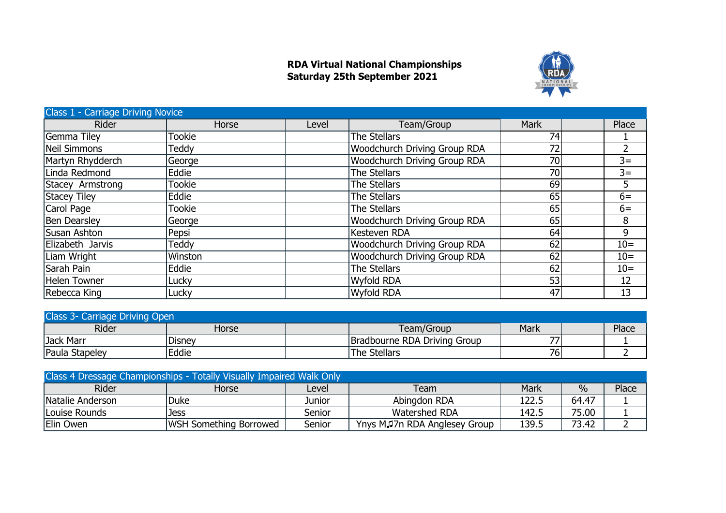## **RDA Virtual National Championships Saturday 25th September 2021**



| <b>Class 1 - Carriage Driving Novice</b> |               |       |                                     |             |  |       |  |  |
|------------------------------------------|---------------|-------|-------------------------------------|-------------|--|-------|--|--|
| <b>Rider</b>                             | Horse         | Level | Team/Group                          | <b>Mark</b> |  | Place |  |  |
| Gemma Tiley                              | <b>Tookie</b> |       | The Stellars                        | 74          |  |       |  |  |
| Neil Simmons                             | Teddy         |       | <b>Woodchurch Driving Group RDA</b> | 72          |  |       |  |  |
| Martyn Rhydderch                         | George        |       | <b>Woodchurch Driving Group RDA</b> | 70          |  | $3=$  |  |  |
| Linda Redmond                            | Eddie         |       | The Stellars                        | 70          |  | $3=$  |  |  |
| Stacey Armstrong                         | <b>Tookie</b> |       | The Stellars                        | 69          |  | 5     |  |  |
| Stacey Tiley                             | Eddie         |       | The Stellars                        | 65          |  | $6=$  |  |  |
| Carol Page                               | <b>Tookie</b> |       | The Stellars                        | 65          |  | $6=$  |  |  |
| Ben Dearsley                             | George        |       | <b>Woodchurch Driving Group RDA</b> | 65          |  | 8     |  |  |
| Susan Ashton                             | Pepsi         |       | Kesteven RDA                        | 64          |  | 9     |  |  |
| Elizabeth Jarvis                         | Teddy         |       | <b>Woodchurch Driving Group RDA</b> | 62          |  | $10=$ |  |  |
| Liam Wright                              | Winston       |       | <b>Woodchurch Driving Group RDA</b> | 62          |  | $10=$ |  |  |
| Sarah Pain                               | Eddie         |       | The Stellars                        | 62          |  | $10=$ |  |  |
| Helen Towner                             | Lucky         |       | Wyfold RDA                          | 53          |  | 12    |  |  |
| Rebecca King                             | Lucky         |       | Wyfold RDA                          | 47          |  | 13    |  |  |

| Class 3- Carriage Driving Open |        |  |                              |      |  |       |  |  |
|--------------------------------|--------|--|------------------------------|------|--|-------|--|--|
| Rider                          | Horse  |  | Team/Group                   | Mark |  | Place |  |  |
| Jack Marr                      | Disney |  | Bradbourne RDA Driving Group | 77.  |  |       |  |  |
| Paula Stapeley                 | Eddie  |  | 'The Stellars                | 76   |  |       |  |  |

| Class 4 Dressage Championships - Totally Visually Impaired Walk Only |                               |        |                              |       |       |       |  |  |  |
|----------------------------------------------------------------------|-------------------------------|--------|------------------------------|-------|-------|-------|--|--|--|
| <b>Rider</b>                                                         | Horse                         | Level  | Team                         | Mark  | $\%$  | Place |  |  |  |
| Natalie Anderson                                                     | Duke                          | Junior | Abingdon RDA                 | 122.5 | 64.47 |       |  |  |  |
| Louise Rounds                                                        | Jess                          | Senior | Watershed RDA                | 142.5 | 75.00 |       |  |  |  |
| Elin Owen                                                            | <b>WSH Something Borrowed</b> | Senior | Ynys MJ7n RDA Anglesey Group | 139.5 | 73.42 |       |  |  |  |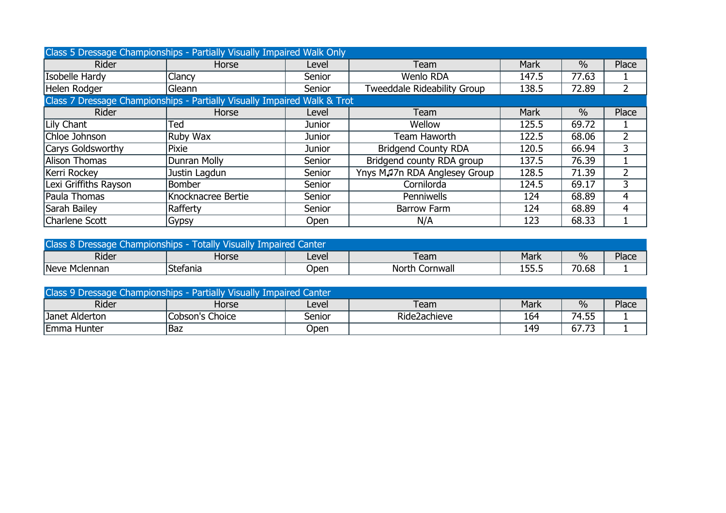| Class 5 Dressage Championships - Partially Visually Impaired Walk Only   |                    |        |                              |             |               |       |  |  |  |
|--------------------------------------------------------------------------|--------------------|--------|------------------------------|-------------|---------------|-------|--|--|--|
| <b>Rider</b>                                                             | Horse              | Level  | Team                         | <b>Mark</b> | $\frac{0}{0}$ | Place |  |  |  |
| Isobelle Hardy                                                           | Clancy             | Senior | Wenlo RDA                    | 147.5       | 77.63         |       |  |  |  |
| Helen Rodger                                                             | Gleann             | Senior | Tweeddale Rideability Group  | 138.5       | 72.89         |       |  |  |  |
| Class 7 Dressage Championships - Partially Visually Impaired Walk & Trot |                    |        |                              |             |               |       |  |  |  |
| Rider                                                                    | Horse              | Level  | Team                         | <b>Mark</b> | $\frac{0}{0}$ | Place |  |  |  |
| Lily Chant                                                               | Ted                | Junior | Wellow                       | 125.5       | 69.72         |       |  |  |  |
| Chloe Johnson                                                            | Ruby Wax           | Junior | Team Haworth                 | 122.5       | 68.06         |       |  |  |  |
| Carys Goldsworthy                                                        | Pixie              | Junior | <b>Bridgend County RDA</b>   | 120.5       | 66.94         | 3     |  |  |  |
| Alison Thomas                                                            | Dunran Molly       | Senior | Bridgend county RDA group    | 137.5       | 76.39         |       |  |  |  |
| Kerri Rockey                                                             | Justin Lagdun      | Senior | Ynys MJ7n RDA Anglesey Group | 128.5       | 71.39         |       |  |  |  |
| Lexi Griffiths Rayson                                                    | <b>Bomber</b>      | Senior | Cornilorda                   | 124.5       | 69.17         |       |  |  |  |
| Paula Thomas                                                             | Knocknacree Bertie | Senior | <b>Penniwells</b>            | 124         | 68.89         |       |  |  |  |
| Sarah Bailey                                                             | Rafferty           | Senior | <b>Barrow Farm</b>           | 124         | 68.89         | 4     |  |  |  |
| Charlene Scott                                                           | Gypsy              | Open   | N/A                          | 123         | 68.33         |       |  |  |  |

| Class 8 Dressage Championships - Totally Visually Impaired Canter |                       |       |                   |                  |       |       |  |  |  |
|-------------------------------------------------------------------|-----------------------|-------|-------------------|------------------|-------|-------|--|--|--|
| Rider                                                             | Horse                 | Level | Team              | Mark             | $\%$  | Place |  |  |  |
| Neve Mclennan                                                     | <sup>1</sup> Stefania | Open  | Cornwall<br>North | 155<br>1 J J J J | 70.68 |       |  |  |  |

| Class 9 Dressage Championships - Partially Visually Impaired Canter |                 |        |              |      |       |       |  |  |
|---------------------------------------------------------------------|-----------------|--------|--------------|------|-------|-------|--|--|
| <b>Rider</b>                                                        | Horse           | Level  | Team         | Mark | $\%$  | Place |  |  |
| Janet Alderton                                                      | Cobson's Choice | Senior | Ride2achieve | 164  | 74.55 |       |  |  |
| <b>IEmma Hunter</b>                                                 | <b>Baz</b>      | Jpen   |              | 149  | 67.73 |       |  |  |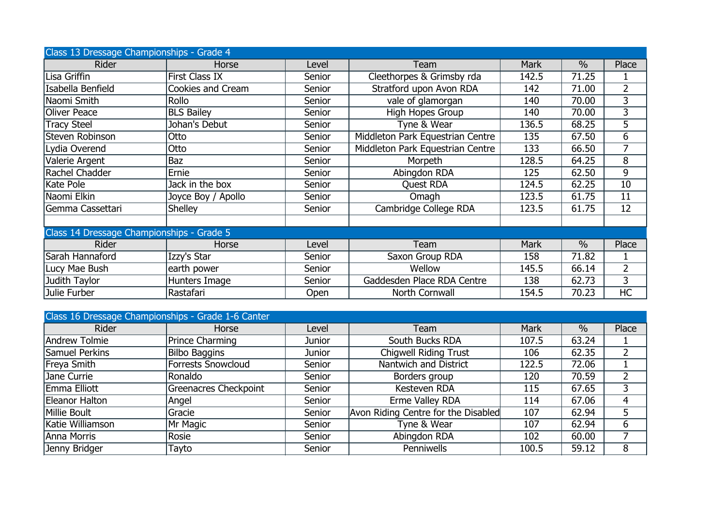| Class 13 Dressage Championships - Grade 4 |                       |        |                                  |             |               |                |  |  |  |
|-------------------------------------------|-----------------------|--------|----------------------------------|-------------|---------------|----------------|--|--|--|
| <b>Rider</b>                              | Horse                 | Level  | Team                             | <b>Mark</b> | $\frac{0}{0}$ | Place          |  |  |  |
| Lisa Griffin                              | <b>First Class IX</b> | Senior | Cleethorpes & Grimsby rda        | 142.5       | 71.25         |                |  |  |  |
| Isabella Benfield                         | Cookies and Cream     | Senior | Stratford upon Avon RDA          | 142         | 71.00         | 2              |  |  |  |
| Naomi Smith                               | Rollo                 | Senior | vale of glamorgan                | 140         | 70.00         | 3              |  |  |  |
| <b>Oliver Peace</b>                       | <b>BLS Bailey</b>     | Senior | High Hopes Group                 | 140         | 70.00         | 3              |  |  |  |
| <b>Tracy Steel</b>                        | Johan's Debut         | Senior | Tyne & Wear                      | 136.5       | 68.25         | 5              |  |  |  |
| Steven Robinson                           | Otto                  | Senior | Middleton Park Equestrian Centre | 135         | 67.50         | 6              |  |  |  |
| Lydia Overend                             | Otto                  | Senior | Middleton Park Equestrian Centre | 133         | 66.50         | 7              |  |  |  |
| Valerie Argent                            | Baz                   | Senior | Morpeth                          | 128.5       | 64.25         | 8              |  |  |  |
| Rachel Chadder                            | Ernie                 | Senior | Abingdon RDA                     | 125         | 62.50         | 9              |  |  |  |
| Kate Pole                                 | Jack in the box       | Senior | <b>Quest RDA</b>                 | 124.5       | 62.25         | 10             |  |  |  |
| Naomi Elkin                               | Joyce Boy / Apollo    | Senior | Omagh                            | 123.5       | 61.75         | 11             |  |  |  |
| Gemma Cassettari                          | <b>Shelley</b>        | Senior | Cambridge College RDA            | 123.5       | 61.75         | 12             |  |  |  |
|                                           |                       |        |                                  |             |               |                |  |  |  |
| Class 14 Dressage Championships - Grade 5 |                       |        |                                  |             |               |                |  |  |  |
| Rider                                     | Horse                 | Level  | Team                             | <b>Mark</b> | $\frac{0}{0}$ | Place          |  |  |  |
| Sarah Hannaford                           | Izzy's Star           | Senior | Saxon Group RDA                  | 158         | 71.82         |                |  |  |  |
| Lucy Mae Bush                             | earth power           | Senior | Wellow                           | 145.5       | 66.14         | $\overline{2}$ |  |  |  |
| Judith Taylor                             | Hunters Image         | Senior | Gaddesden Place RDA Centre       | 138         | 62.73         | 3              |  |  |  |
| Julie Furber                              | Rastafari             | Open   | North Cornwall                   | 154.5       | 70.23         | HC             |  |  |  |

| Class 16 Dressage Championships - Grade 1-6 Canter |                              |        |                                     |             |               |       |  |  |  |
|----------------------------------------------------|------------------------------|--------|-------------------------------------|-------------|---------------|-------|--|--|--|
| <b>Rider</b>                                       | Horse                        | Level  | <b>Team</b>                         | <b>Mark</b> | $\frac{0}{0}$ | Place |  |  |  |
| Andrew Tolmie                                      | <b>Prince Charming</b>       | Junior | South Bucks RDA                     | 107.5       | 63.24         |       |  |  |  |
| Samuel Perkins                                     | <b>Bilbo Baggins</b>         | Junior | <b>Chigwell Riding Trust</b>        | 106         | 62.35         |       |  |  |  |
| <b>Freya Smith</b>                                 | <b>Forrests Snowcloud</b>    | Senior | Nantwich and District               | 122.5       | 72.06         |       |  |  |  |
| Jane Currie                                        | Ronaldo                      | Senior | Borders group                       | 120         | 70.59         |       |  |  |  |
| Emma Elliott                                       | <b>Greenacres Checkpoint</b> | Senior | Kesteven RDA                        | 115         | 67.65         |       |  |  |  |
| Eleanor Halton                                     | Angel                        | Senior | Erme Valley RDA                     | 114         | 67.06         | 4     |  |  |  |
| Millie Boult                                       | Gracie                       | Senior | Avon Riding Centre for the Disabled | 107         | 62.94         |       |  |  |  |
| Katie Williamson                                   | Mr Magic                     | Senior | Tyne & Wear                         | 107         | 62.94         | 6     |  |  |  |
| Anna Morris                                        | Rosie                        | Senior | Abingdon RDA                        | 102         | 60.00         |       |  |  |  |
| Jenny Bridger                                      | Tayto                        | Senior | Penniwells                          | 100.5       | 59.12         | 8     |  |  |  |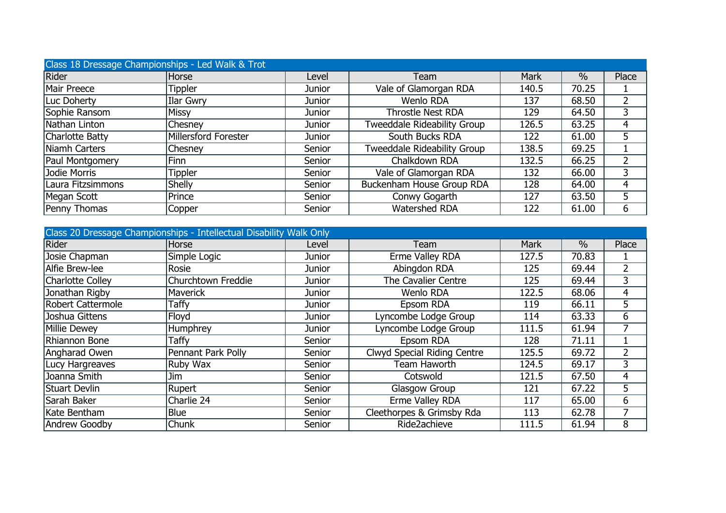| Class 18 Dressage Championships - Led Walk & Trot |                      |               |                                    |             |               |       |  |  |  |
|---------------------------------------------------|----------------------|---------------|------------------------------------|-------------|---------------|-------|--|--|--|
| Rider                                             | Horse                | Level         | Team                               | <b>Mark</b> | $\frac{0}{0}$ | Place |  |  |  |
| Mair Preece                                       | Tippler              | Junior        | Vale of Glamorgan RDA              | 140.5       | 70.25         |       |  |  |  |
| Luc Doherty                                       | Ilar Gwry            | Junior        | Wenlo RDA                          | 137         | 68.50         |       |  |  |  |
| Sophie Ransom                                     | <b>Missy</b>         | Junior        | <b>Throstle Nest RDA</b>           | 129         | 64.50         |       |  |  |  |
| Nathan Linton                                     | Chesney              | <b>Junior</b> | <b>Tweeddale Rideability Group</b> | 126.5       | 63.25         |       |  |  |  |
| Charlotte Batty                                   | Millersford Forester | Junior        | South Bucks RDA                    | 122         | 61.00         | 5     |  |  |  |
| Niamh Carters                                     | Chesney              | Senior        | <b>Tweeddale Rideability Group</b> | 138.5       | 69.25         |       |  |  |  |
| Paul Montgomery                                   | Finn                 | Senior        | Chalkdown RDA                      | 132.5       | 66.25         |       |  |  |  |
| Jodie Morris                                      | Tippler              | Senior        | Vale of Glamorgan RDA              | 132         | 66.00         |       |  |  |  |
| Laura Fitzsimmons                                 | <b>Shelly</b>        | Senior        | Buckenham House Group RDA          | 128         | 64.00         | 4     |  |  |  |
| Megan Scott                                       | Prince               | Senior        | Conwy Gogarth                      | 127         | 63.50         | 5     |  |  |  |
| Penny Thomas                                      | Copper               | Senior        | Watershed RDA                      | 122         | 61.00         | 6     |  |  |  |

| Class 20 Dressage Championships - Intellectual Disability Walk Only |                    |        |                                    |             |               |                |  |  |  |
|---------------------------------------------------------------------|--------------------|--------|------------------------------------|-------------|---------------|----------------|--|--|--|
| Rider                                                               | Horse              | Level  | Team                               | <b>Mark</b> | $\frac{0}{0}$ | Place          |  |  |  |
| Josie Chapman                                                       | Simple Logic       | Junior | Erme Valley RDA                    | 127.5       | 70.83         |                |  |  |  |
| Alfie Brew-lee                                                      | Rosie              | Junior | Abingdon RDA                       | 125         | 69.44         | $\overline{2}$ |  |  |  |
| Charlotte Colley                                                    | Churchtown Freddie | Junior | The Cavalier Centre                | 125         | 69.44         | 3              |  |  |  |
| Jonathan Rigby                                                      | <b>Maverick</b>    | Junior | <b>Wenlo RDA</b>                   | 122.5       | 68.06         | 4              |  |  |  |
| Robert Cattermole                                                   | Taffy              | Junior | Epsom RDA                          | 119         | 66.11         | 5              |  |  |  |
| Joshua Gittens                                                      | Floyd              | Junior | Lyncombe Lodge Group               | 114         | 63.33         | 6              |  |  |  |
| Millie Dewey                                                        | <b>Humphrey</b>    | Junior | Lyncombe Lodge Group               | 111.5       | 61.94         |                |  |  |  |
| Rhiannon Bone                                                       | Taffy              | Senior | Epsom RDA                          | 128         | 71.11         |                |  |  |  |
| Angharad Owen                                                       | Pennant Park Polly | Senior | <b>Clwyd Special Riding Centre</b> | 125.5       | 69.72         | $\overline{2}$ |  |  |  |
| Lucy Hargreaves                                                     | Ruby Wax           | Senior | Team Haworth                       | 124.5       | 69.17         | 3              |  |  |  |
| Joanna Smith                                                        | Jim                | Senior | Cotswold                           | 121.5       | 67.50         | 4              |  |  |  |
| Stuart Devlin                                                       | Rupert             | Senior | Glasgow Group                      | 121         | 67.22         | 5              |  |  |  |
| Sarah Baker                                                         | Charlie 24         | Senior | Erme Valley RDA                    | 117         | 65.00         | 6              |  |  |  |
| Kate Bentham                                                        | Blue               | Senior | Cleethorpes & Grimsby Rda          | 113         | 62.78         | 7              |  |  |  |
| Andrew Goodby                                                       | <b>Chunk</b>       | Senior | Ride2achieve                       | 111.5       | 61.94         | 8              |  |  |  |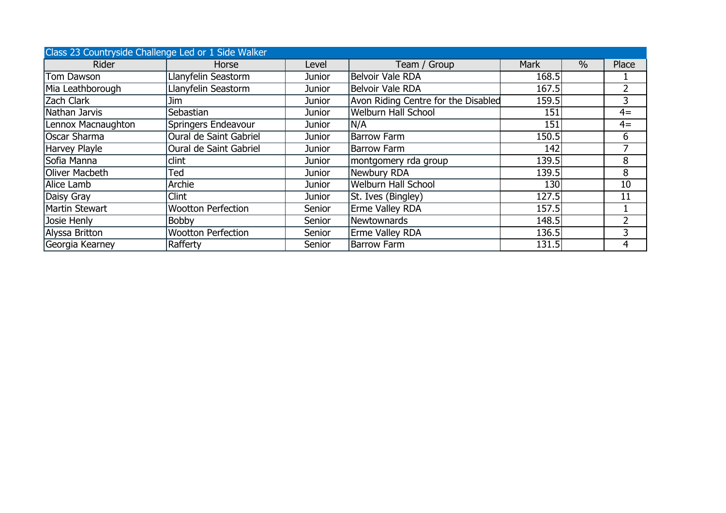| Class 23 Countryside Challenge Led or 1 Side Walker |                           |        |                                     |             |               |                |  |  |  |
|-----------------------------------------------------|---------------------------|--------|-------------------------------------|-------------|---------------|----------------|--|--|--|
| <b>Rider</b>                                        | Horse                     | Level  | Team / Group                        | <b>Mark</b> | $\frac{0}{0}$ | Place          |  |  |  |
| Tom Dawson                                          | Llanyfelin Seastorm       | Junior | Belvoir Vale RDA                    | 168.5       |               |                |  |  |  |
| Mia Leathborough                                    | Llanyfelin Seastorm       | Junior | Belvoir Vale RDA                    | 167.5       |               | $\overline{2}$ |  |  |  |
| Zach Clark                                          | Jim.                      | Junior | Avon Riding Centre for the Disabled | 159.5       |               | 3              |  |  |  |
| Nathan Jarvis                                       | Sebastian                 | Junior | <b>Welburn Hall School</b>          | 151         |               | $4=$           |  |  |  |
| Lennox Macnaughton                                  | Springers Endeavour       | Junior | N/A                                 | 151         |               | $4=$           |  |  |  |
| Oscar Sharma                                        | Oural de Saint Gabriel    | Junior | <b>Barrow Farm</b>                  | 150.5       |               | 6              |  |  |  |
| <b>Harvey Playle</b>                                | Oural de Saint Gabriel    | Junior | <b>Barrow Farm</b>                  | 142         |               | ⇁              |  |  |  |
| Sofia Manna                                         | clint                     | Junior | montgomery rda group                | 139.5       |               | 8              |  |  |  |
| Oliver Macbeth                                      | Ted                       | Junior | Newbury RDA                         | 139.5       |               | 8              |  |  |  |
| Alice Lamb                                          | Archie                    | Junior | <b>Welburn Hall School</b>          | 130         |               | 10             |  |  |  |
| Daisy Gray                                          | Clint                     | Junior | St. Ives (Bingley)                  | 127.5       |               | 11             |  |  |  |
| Martin Stewart                                      | <b>Wootton Perfection</b> | Senior | <b>Erme Valley RDA</b>              | 157.5       |               |                |  |  |  |
| Josie Henly                                         | <b>Bobby</b>              | Senior | Newtownards                         | 148.5       |               | $\overline{2}$ |  |  |  |
| Alyssa Britton                                      | <b>Wootton Perfection</b> | Senior | Erme Valley RDA                     | 136.5       |               | 3              |  |  |  |
| Georgia Kearney                                     | Rafferty                  | Senior | <b>Barrow Farm</b>                  | 131.5       |               | 4              |  |  |  |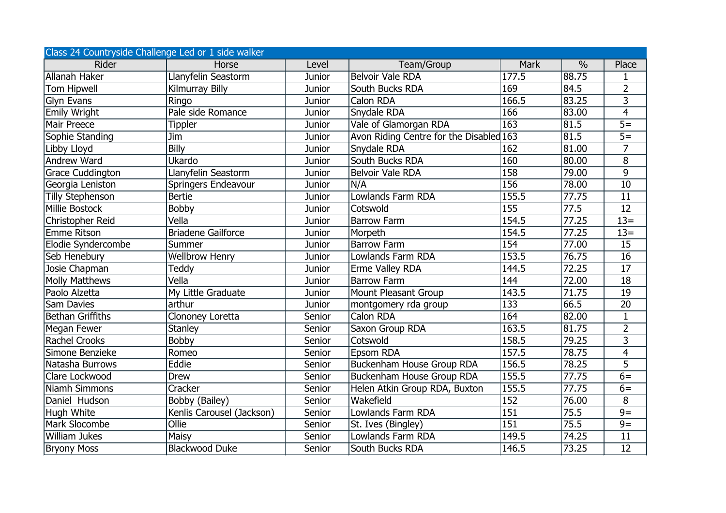| Class 24 Countryside Challenge Led or 1 side walker |                           |               |                                         |                  |               |                   |  |  |  |
|-----------------------------------------------------|---------------------------|---------------|-----------------------------------------|------------------|---------------|-------------------|--|--|--|
| <b>Rider</b>                                        | Horse                     | Level         | Team/Group                              | Mark             | $\frac{0}{0}$ | Place             |  |  |  |
| Allanah Haker                                       | Llanyfelin Seastorm       | <b>Junior</b> | <b>Belvoir Vale RDA</b>                 | 177.5            | 88.75         | 1                 |  |  |  |
| <b>Tom Hipwell</b>                                  | Kilmurray Billy           | Junior        | South Bucks RDA                         | 169              | 84.5          | $\overline{2}$    |  |  |  |
| <b>Glyn Evans</b>                                   | Ringo                     | Junior        | Calon RDA                               | 166.5            | 83.25         | $\overline{3}$    |  |  |  |
| <b>Emily Wright</b>                                 | Pale side Romance         | <b>Junior</b> | Snydale RDA                             | 166              | 83.00         | $\overline{4}$    |  |  |  |
| Mair Preece                                         | Tippler                   | <b>Junior</b> | Vale of Glamorgan RDA                   | $\overline{163}$ | 81.5          | $\overline{5}=$   |  |  |  |
| Sophie Standing                                     | Jim                       | <b>Junior</b> | Avon Riding Centre for the Disabled 163 |                  | 81.5          | $\overline{5=}$   |  |  |  |
| Libby Lloyd                                         | Billy                     | Junior        | Snydale RDA                             | 162              | 81.00         | $\overline{7}$    |  |  |  |
| Andrew Ward                                         | Ukardo                    | <b>Junior</b> | South Bucks RDA                         | 160              | 80.00         | 8                 |  |  |  |
| <b>Grace Cuddington</b>                             | Llanyfelin Seastorm       | <b>Junior</b> | Belvoir Vale RDA                        | 158              | 79.00         | 9                 |  |  |  |
| Georgia Leniston                                    | Springers Endeavour       | <b>Junior</b> | N/A                                     | 156              | 78.00         | $\overline{10}$   |  |  |  |
| <b>Tilly Stephenson</b>                             | <b>Bertie</b>             | <b>Junior</b> | <b>Lowlands Farm RDA</b>                | 155.5            | 77.75         | $\overline{11}$   |  |  |  |
| <b>Millie Bostock</b>                               | <b>Bobby</b>              | Junior        | Cotswold                                | 155              | 77.5          | $\overline{12}$   |  |  |  |
| Christopher Reid                                    | Vella                     | <b>Junior</b> | <b>Barrow Farm</b>                      | 154.5            | 77.25         | $\overline{13}$ = |  |  |  |
| <b>Emme Ritson</b>                                  | <b>Briadene Gailforce</b> | <b>Junior</b> | Morpeth                                 | 154.5            | 77.25         | $13=$             |  |  |  |
| Elodie Syndercombe                                  | Summer                    | <b>Junior</b> | <b>Barrow Farm</b>                      | 154              | 77.00         | 15                |  |  |  |
| Seb Henebury                                        | <b>Wellbrow Henry</b>     | <b>Junior</b> | Lowlands Farm RDA                       | 153.5            | 76.75         | $\overline{16}$   |  |  |  |
| Josie Chapman                                       | Teddy                     | <b>Junior</b> | Erme Valley RDA                         | 144.5            | 72.25         | $\overline{17}$   |  |  |  |
| <b>Molly Matthews</b>                               | Vella                     | <b>Junior</b> | <b>Barrow Farm</b>                      | $\overline{144}$ | 72.00         | $\overline{18}$   |  |  |  |
| Paolo Alzetta                                       | My Little Graduate        | Junior        | Mount Pleasant Group                    | 143.5            | 71.75         | $\overline{19}$   |  |  |  |
| Sam Davies                                          | arthur                    | <b>Junior</b> | montgomery rda group                    | $\overline{133}$ | 66.5          | 20                |  |  |  |
| <b>Bethan Griffiths</b>                             | Clononey Loretta          | Senior        | Calon RDA                               | 164              | 82.00         | $\mathbf{1}$      |  |  |  |
| Megan Fewer                                         | <b>Stanley</b>            | Senior        | Saxon Group RDA                         | 163.5            | 81.75         | $\overline{2}$    |  |  |  |
| <b>Rachel Crooks</b>                                | <b>Bobby</b>              | Senior        | Cotswold                                | 158.5            | 79.25         | $\overline{3}$    |  |  |  |
| Simone Benzieke                                     | Romeo                     | Senior        | Epsom RDA                               | 157.5            | 78.75         | $\overline{4}$    |  |  |  |
| Natasha Burrows                                     | Eddie                     | Senior        | <b>Buckenham House Group RDA</b>        | 156.5            | 78.25         | $\overline{5}$    |  |  |  |
| Clare Lockwood                                      | Drew                      | Senior        | Buckenham House Group RDA               | 155.5            | 77.75         | $6=$              |  |  |  |
| Niamh Simmons                                       | Cracker                   | Senior        | Helen Atkin Group RDA, Buxton           | 155.5            | 77.75         | $6=$              |  |  |  |
| Daniel Hudson                                       | Bobby (Bailey)            | Senior        | Wakefield                               | 152              | 76.00         | $\overline{8}$    |  |  |  |
| Hugh White                                          | Kenlis Carousel (Jackson) | Senior        | Lowlands Farm RDA                       | $\overline{151}$ | 75.5          | $\overline{9}$    |  |  |  |
| Mark Slocombe                                       | Ollie                     | Senior        | St. Ives (Bingley)                      | 151              | 75.5          | $\overline{9}$    |  |  |  |
| <b>William Jukes</b>                                | <b>Maisy</b>              | Senior        | Lowlands Farm RDA                       | 149.5            | 74.25         | $\overline{11}$   |  |  |  |
| <b>Bryony Moss</b>                                  | <b>Blackwood Duke</b>     | Senior        | South Bucks RDA                         | 146.5            | 73.25         | $\overline{12}$   |  |  |  |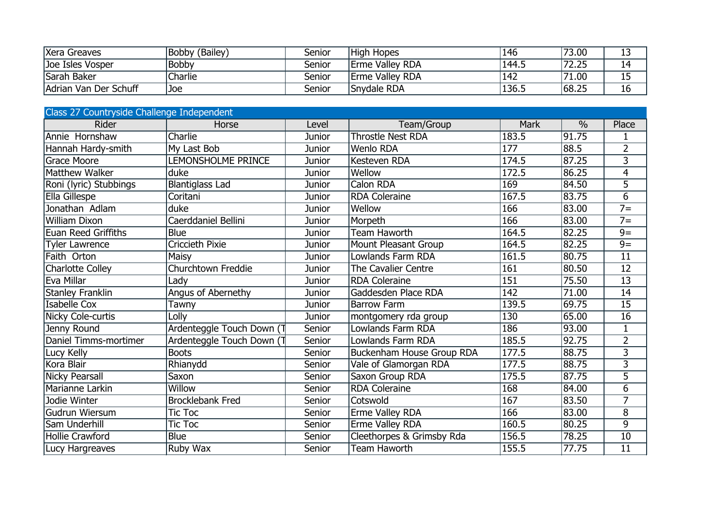| Xera Greaves          | Bobby (Bailey) | Senior | <b>High Hopes</b> | 146   | 73.00 | ∸~ |
|-----------------------|----------------|--------|-------------------|-------|-------|----|
| Joe Isles Vosper      | <b>Bobby</b>   | Senior | Erme Valley RDA   | 144.5 | 72.25 | 14 |
| Sarah Baker           | Charlie        | Senior | Erme Valley RDA   | 142   | 71.00 | ᅩ  |
| Adrian Van Der Schuff | Joe            | Senior | Snydale RDA       | 136.5 | 68.25 | TO |

| Class 27 Countryside Challenge Independent |                           |               |                                  |             |               |                  |  |  |  |
|--------------------------------------------|---------------------------|---------------|----------------------------------|-------------|---------------|------------------|--|--|--|
| Rider                                      | Horse                     | Level         | Team/Group                       | <b>Mark</b> | $\frac{0}{0}$ | Place            |  |  |  |
| Annie Hornshaw                             | Charlie                   | Junior        | <b>Throstle Nest RDA</b>         | 183.5       | 91.75         |                  |  |  |  |
| Hannah Hardy-smith                         | My Last Bob               | Junior        | <b>Wenlo RDA</b>                 | 177         | 88.5          | $\overline{2}$   |  |  |  |
| <b>Grace Moore</b>                         | LEMONSHOLME PRINCE        | Junior        | Kesteven RDA                     | 174.5       | 87.25         | $\overline{3}$   |  |  |  |
| <b>Matthew Walker</b>                      | duke                      | <b>Junior</b> | Wellow                           | 172.5       | 86.25         | 4                |  |  |  |
| Roni (lyric) Stubbings                     | <b>Blantiglass Lad</b>    | Junior        | <b>Calon RDA</b>                 | 169         | 84.50         | $\overline{5}$   |  |  |  |
| Ella Gillespe                              | Coritani                  | Junior        | <b>RDA</b> Coleraine             | 167.5       | 83.75         | $\overline{6}$   |  |  |  |
| Jonathan Adlam                             | duke                      | Junior        | Wellow                           | 166         | 83.00         | $\overline{7}$ = |  |  |  |
| <b>William Dixon</b>                       | Caerddaniel Bellini       | Junior        | Morpeth                          | 166         | 83.00         | $7 =$            |  |  |  |
| <b>Euan Reed Griffiths</b>                 | <b>Blue</b>               | Junior        | <b>Team Haworth</b>              | 164.5       | 82.25         | $\overline{9}=$  |  |  |  |
| <b>Tyler Lawrence</b>                      | Criccieth Pixie           | Junior        | Mount Pleasant Group             | 164.5       | 82.25         | $9=$             |  |  |  |
| Faith Orton                                | Maisy                     | Junior        | <b>Lowlands Farm RDA</b>         | 161.5       | 80.75         | 11               |  |  |  |
| <b>Charlotte Colley</b>                    | Churchtown Freddie        | Junior        | The Cavalier Centre              | 161         | 80.50         | 12               |  |  |  |
| Eva Millar                                 | Lady                      | Junior        | <b>RDA</b> Coleraine             | 151         | 75.50         | $\overline{13}$  |  |  |  |
| <b>Stanley Franklin</b>                    | Angus of Abernethy        | Junior        | Gaddesden Place RDA              | 142         | 71.00         | $\overline{14}$  |  |  |  |
| <b>Isabelle Cox</b>                        | Tawny                     | Junior        | <b>Barrow Farm</b>               | 139.5       | 69.75         | 15               |  |  |  |
| Nicky Cole-curtis                          | Lolly                     | Junior        | montgomery rda group             | 130         | 65.00         | $\overline{16}$  |  |  |  |
| Jenny Round                                | Ardenteggle Touch Down (T | Senior        | Lowlands Farm RDA                | 186         | 93.00         | $\mathbf{1}$     |  |  |  |
| Daniel Timms-mortimer                      | Ardenteggle Touch Down (T | Senior        | Lowlands Farm RDA                | 185.5       | 92.75         | $\overline{2}$   |  |  |  |
| Lucy Kelly                                 | <b>Boots</b>              | Senior        | <b>Buckenham House Group RDA</b> | 177.5       | 88.75         | $\overline{3}$   |  |  |  |
| Kora Blair                                 | Rhianydd                  | Senior        | Vale of Glamorgan RDA            | 177.5       | 88.75         | $\overline{3}$   |  |  |  |
| <b>Nicky Pearsall</b>                      | Saxon                     | Senior        | Saxon Group RDA                  | 175.5       | 87.75         | $\overline{5}$   |  |  |  |
| Marianne Larkin                            | Willow                    | Senior        | <b>RDA Coleraine</b>             | 168         | 84.00         | $\overline{6}$   |  |  |  |
| Jodie Winter                               | <b>Brocklebank Fred</b>   | Senior        | Cotswold                         | 167         | 83.50         | $\overline{7}$   |  |  |  |
| Gudrun Wiersum                             | <b>Tic Toc</b>            | Senior        | Erme Valley RDA                  | 166         | 83.00         | 8                |  |  |  |
| Sam Underhill                              | Tic Toc                   | Senior        | Erme Valley RDA                  | 160.5       | 80.25         | $\overline{9}$   |  |  |  |
| <b>Hollie Crawford</b>                     | <b>Blue</b>               | Senior        | Cleethorpes & Grimsby Rda        | 156.5       | 78.25         | $\overline{10}$  |  |  |  |
| Lucy Hargreaves                            | Ruby Wax                  | Senior        | <b>Team Haworth</b>              | 155.5       | 77.75         | $\overline{11}$  |  |  |  |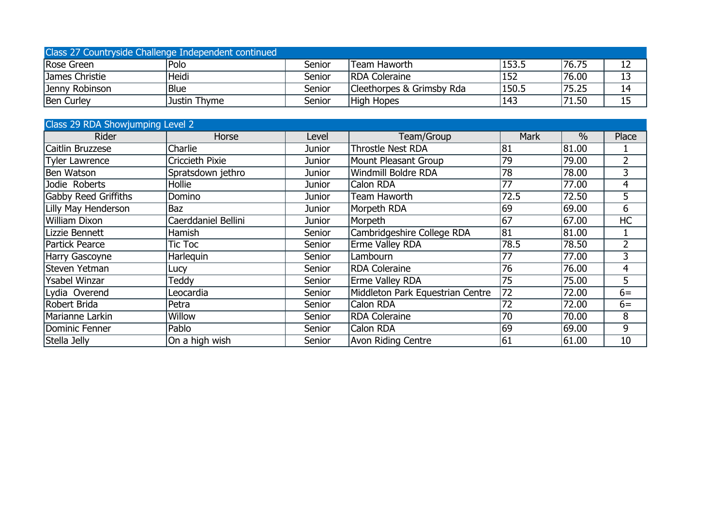| Class 27 Countryside Challenge Independent continued |              |        |                           |       |       |  |  |  |  |
|------------------------------------------------------|--------------|--------|---------------------------|-------|-------|--|--|--|--|
| Rose Green                                           | Polo         | Senior | lTeam Haworth             | 153.5 | 76.75 |  |  |  |  |
| James Christie                                       | Heidi        | Senior | <b>IRDA Coleraine</b>     | 152   | 76.00 |  |  |  |  |
| Jenny Robinson                                       | Blue         | Senior | Cleethorpes & Grimsby Rda | 150.5 | 75.25 |  |  |  |  |
| <b>Ben Curley</b>                                    | Justin Thyme | Senior | High Hopes                | 143   | 71.50 |  |  |  |  |

| Class 29 RDA Showjumping Level 2 |                     |        |                                  |                 |               |                |
|----------------------------------|---------------------|--------|----------------------------------|-----------------|---------------|----------------|
| <b>Rider</b>                     | Horse               | Level  | Team/Group                       | <b>Mark</b>     | $\frac{0}{0}$ | Place          |
| Caitlin Bruzzese                 | Charlie             | Junior | <b>Throstle Nest RDA</b>         | 81              | 81.00         |                |
| <b>Tyler Lawrence</b>            | Criccieth Pixie     | Junior | <b>Mount Pleasant Group</b>      | 79              | 79.00         | $\overline{2}$ |
| Ben Watson                       | Spratsdown jethro   | Junior | Windmill Boldre RDA              | 78              | 78.00         | 3              |
| Jodie Roberts                    | Hollie              | Junior | Calon RDA                        | 77              | 77.00         | 4              |
| <b>Gabby Reed Griffiths</b>      | Domino              | Junior | Team Haworth                     | 72.5            | 72.50         | 5              |
| <b>Lilly May Henderson</b>       | Baz                 | Junior | Morpeth RDA                      | $\overline{69}$ | 69.00         | 6              |
| <b>William Dixon</b>             | Caerddaniel Bellini | Junior | Morpeth                          | 67              | 67.00         | <b>HC</b>      |
| Lizzie Bennett                   | Hamish              | Senior | Cambridgeshire College RDA       | 81              | 81.00         |                |
| <b>Partick Pearce</b>            | Tic Toc             | Senior | Erme Valley RDA                  | 78.5            | 78.50         | 2              |
| Harry Gascoyne                   | <b>Harleguin</b>    | Senior | Lambourn                         | 77              | 77.00         | 3              |
| Steven Yetman                    | Lucy                | Senior | <b>RDA Coleraine</b>             | 76              | 76.00         | 4              |
| <b>Ysabel Winzar</b>             | Teddy               | Senior | Erme Valley RDA                  | 75              | 75.00         | 5              |
| Lydia Overend                    | _eocardia           | Senior | Middleton Park Equestrian Centre | 72              | 72.00         | $6=$           |
| Robert Brida                     | Petra               | Senior | Calon RDA                        | 72              | 72.00         | $6=$           |
| Marianne Larkin                  | Willow              | Senior | <b>RDA Coleraine</b>             | 70              | 70.00         | 8              |
| Dominic Fenner                   | Pablo               | Senior | Calon RDA                        | 69              | 69.00         | 9              |
| Stella Jelly                     | On a high wish      | Senior | <b>Avon Riding Centre</b>        | 61              | 61.00         | 10             |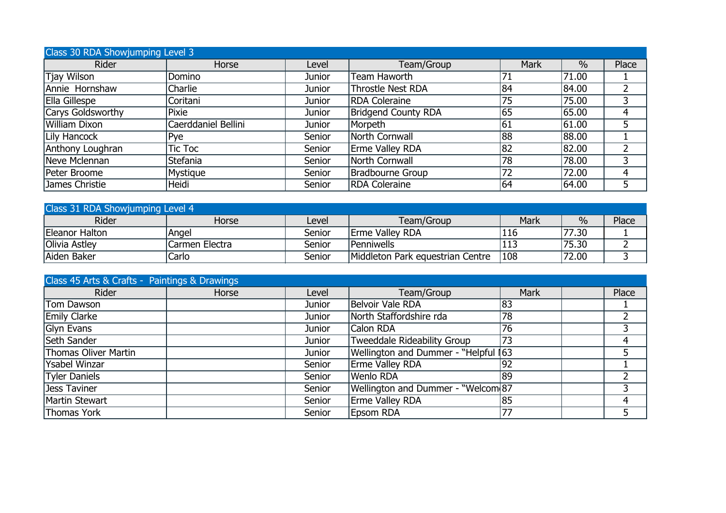| Class 30 RDA Showjumping Level 3 |                     |               |                            |             |       |       |  |  |  |
|----------------------------------|---------------------|---------------|----------------------------|-------------|-------|-------|--|--|--|
| Rider                            | Horse               | Level         | Team/Group                 | <b>Mark</b> | $\%$  | Place |  |  |  |
| Tjay Wilson                      | Domino              | <b>Junior</b> | Team Haworth               |             | 71.00 |       |  |  |  |
| Annie Hornshaw                   | Charlie             | <b>Junior</b> | <b>Throstle Nest RDA</b>   | 84          | 84.00 |       |  |  |  |
| Ella Gillespe                    | Coritani            | Junior        | <b>RDA Coleraine</b>       | 75          | 75.00 |       |  |  |  |
| Carys Goldsworthy                | Pixie               | Junior        | <b>Bridgend County RDA</b> | 65          | 65.00 | 4     |  |  |  |
| <b>William Dixon</b>             | Caerddaniel Bellini | Junior        | Morpeth                    | 61          | 61.00 |       |  |  |  |
| Lily Hancock                     | Pye                 | Senior        | North Cornwall             | 88          | 88.00 |       |  |  |  |
| Anthony Loughran                 | Tic Toc             | Senior        | <b>Erme Valley RDA</b>     | 82          | 82.00 |       |  |  |  |
| Neve Mclennan                    | Stefania            | Senior        | North Cornwall             | 78          | 78.00 |       |  |  |  |
| Peter Broome                     | Mystique            | Senior        | Bradbourne Group           | 72          | 72.00 | 4     |  |  |  |
| James Christie                   | Heidi               | Senior        | <b>RDA Coleraine</b>       | 64          | 64.00 |       |  |  |  |

| Class 31 RDA Showjumping Level 4 |                |        |                                  |      |       |       |  |  |  |
|----------------------------------|----------------|--------|----------------------------------|------|-------|-------|--|--|--|
| Rider                            | Horse          | Level  | Team/Group                       | Mark | $\%$  | Place |  |  |  |
| Eleanor Halton                   | Angel          | Senior | <b>IErme Valley RDA</b>          | 116  | 77.30 |       |  |  |  |
| Olivia Astley                    | Carmen Electra | Senior | <b>IPenniwells</b>               | 113  | 75.30 |       |  |  |  |
| Aiden Baker                      | Carlo          | Senior | Middleton Park equestrian Centre | 108  | 72.00 |       |  |  |  |

| Class 45 Arts & Crafts - Paintings & Drawings |       |               |                                      |      |       |
|-----------------------------------------------|-------|---------------|--------------------------------------|------|-------|
| Rider                                         | Horse | Level         | Team/Group                           | Mark | Place |
| Tom Dawson                                    |       | <b>Junior</b> | Belvoir Vale RDA                     | 183  |       |
| <b>Emily Clarke</b>                           |       | <b>Junior</b> | North Staffordshire rda              | 78   |       |
| Glyn Evans                                    |       | Junior        | Calon RDA                            | 76   |       |
| Seth Sander                                   |       | <b>Junior</b> | <b>Tweeddale Rideability Group</b>   | 73   |       |
| <b>Thomas Oliver Martin</b>                   |       | <b>Junior</b> | Wellington and Dummer - "Helpful 163 |      |       |
| Ysabel Winzar                                 |       | Senior        | <b>Erme Valley RDA</b>               | 192  |       |
| <b>Tyler Daniels</b>                          |       | Senior        | Wenlo RDA                            | 89   |       |
| Jess Taviner                                  |       | Senior        | Wellington and Dummer - "Welcom 87   |      |       |
| Martin Stewart                                |       | Senior        | <b>Erme Valley RDA</b>               | 85   | 4     |
| Thomas York                                   |       | Senior        | <b>Epsom RDA</b>                     | 77   |       |